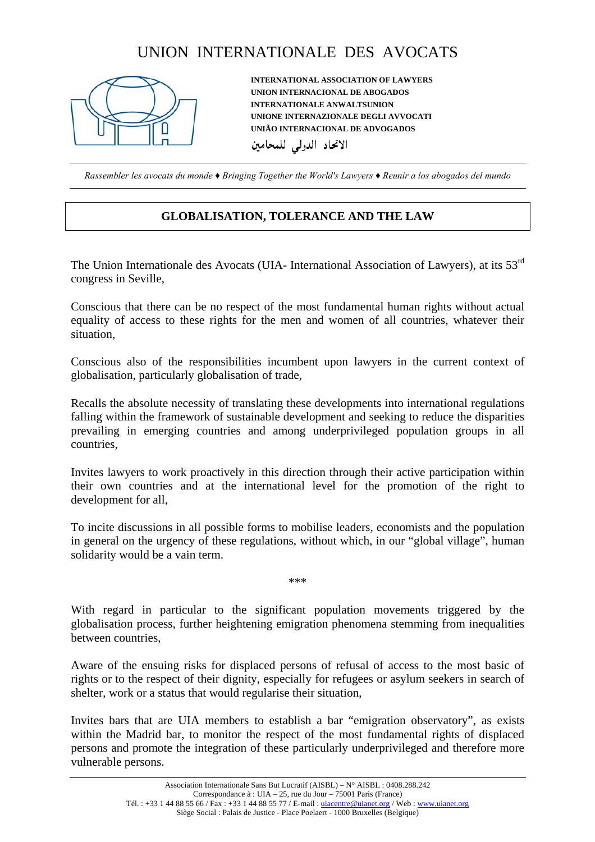## UNION INTERNATIONALE DES AVOCATS



**INTERNATIONAL ASSOCIATION OF LAWYERS UNION INTERNACIONAL DE ABOGADOS INTERNATIONALE ANWALTSUNION UNIONE INTERNAZIONALE DEGLI AVVOCATI UNIÃO INTERNACIONAL DE ADVOGADOS**  الاتحاد الدولي للمحامين

*Rassembler les avocats du monde ♦ Bringing Together the World's Lawyers ♦ Reunir a los abogados del mundo* 

## **GLOBALISATION, TOLERANCE AND THE LAW**

The Union Internationale des Avocats (UIA- International Association of Lawyers), at its 53<sup>rd</sup> congress in Seville,

Conscious that there can be no respect of the most fundamental human rights without actual equality of access to these rights for the men and women of all countries, whatever their situation,

Conscious also of the responsibilities incumbent upon lawyers in the current context of globalisation, particularly globalisation of trade,

Recalls the absolute necessity of translating these developments into international regulations falling within the framework of sustainable development and seeking to reduce the disparities prevailing in emerging countries and among underprivileged population groups in all countries,

Invites lawyers to work proactively in this direction through their active participation within their own countries and at the international level for the promotion of the right to development for all,

To incite discussions in all possible forms to mobilise leaders, economists and the population in general on the urgency of these regulations, without which, in our "global village", human solidarity would be a vain term.

\*\*\*

With regard in particular to the significant population movements triggered by the globalisation process, further heightening emigration phenomena stemming from inequalities between countries,

Aware of the ensuing risks for displaced persons of refusal of access to the most basic of rights or to the respect of their dignity, especially for refugees or asylum seekers in search of shelter, work or a status that would regularise their situation,

Invites bars that are UIA members to establish a bar "emigration observatory", as exists within the Madrid bar, to monitor the respect of the most fundamental rights of displaced persons and promote the integration of these particularly underprivileged and therefore more vulnerable persons.